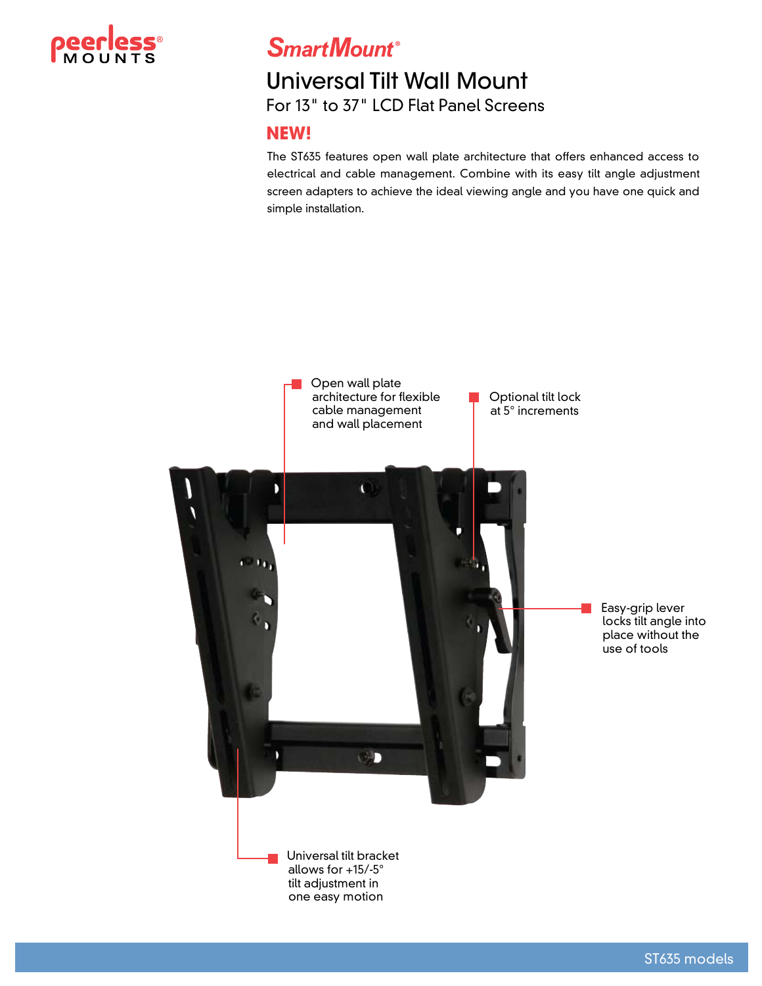

**SmartMount®** 

# Universal Tilt Wall Mount For 13" to 37" LCD Flat Panel Screens

### **NEW!**

The ST635 features open wall plate architecture that offers enhanced access to electrical and cable management. Combine with its easy tilt angle adjustment screen adapters to achieve the ideal viewing angle and you have one quick and simple installation.